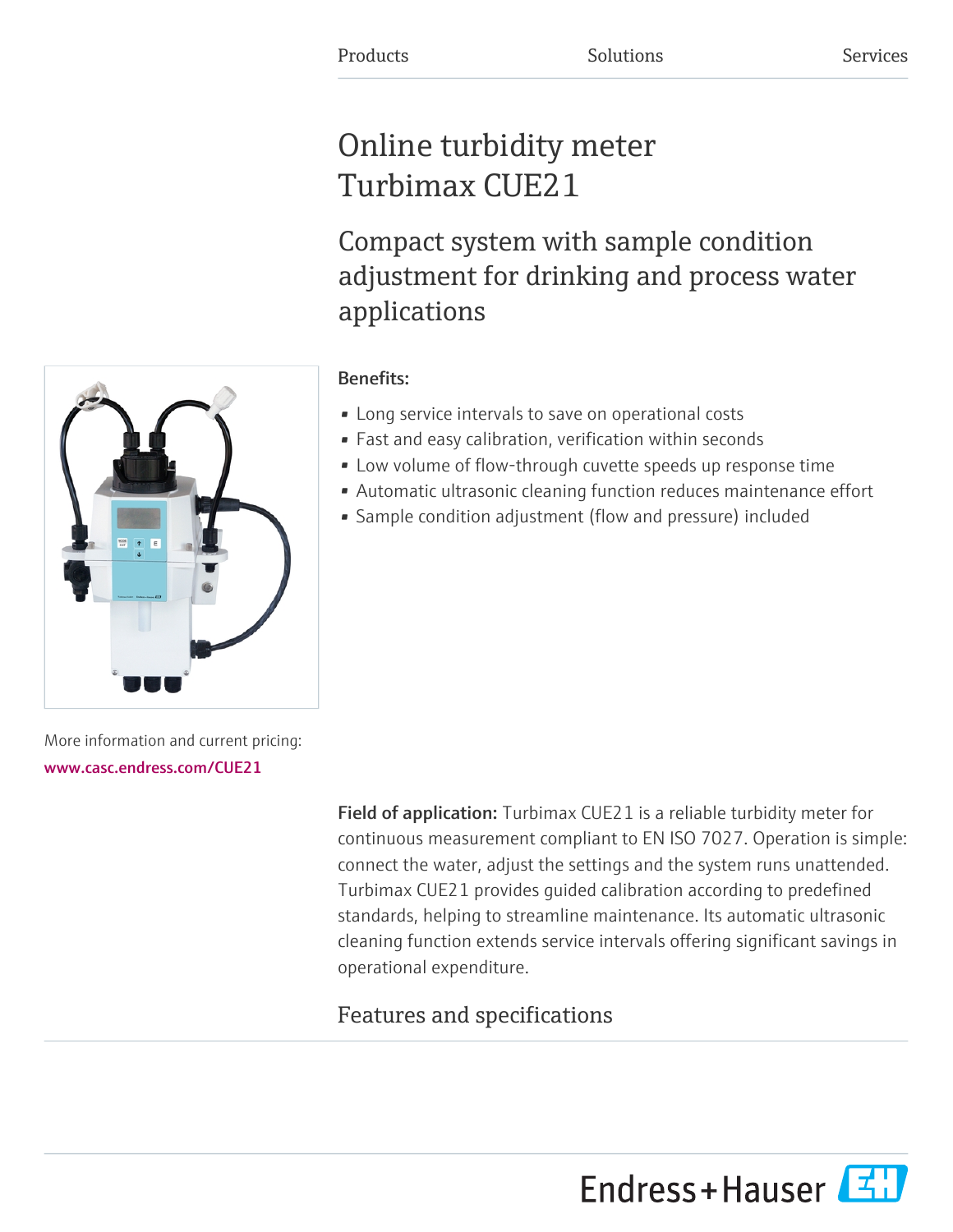# Online turbidity meter Turbimax CUE21

Compact system with sample condition adjustment for drinking and process water applications

## Benefits:

- Long service intervals to save on operational costs
- Fast and easy calibration, verification within seconds
- Low volume of flow-through cuvette speeds up response time
- Automatic ultrasonic cleaning function reduces maintenance effort
- Sample condition adjustment (flow and pressure) included

More information and current pricing: [www.casc.endress.com/CUE21](https://www.casc.endress.com/CUE21)

> Field of application: Turbimax CUE21 is a reliable turbidity meter for continuous measurement compliant to EN ISO 7027. Operation is simple: connect the water, adjust the settings and the system runs unattended. Turbimax CUE21 provides guided calibration according to predefined standards, helping to streamline maintenance. Its automatic ultrasonic cleaning function extends service intervals offering significant savings in operational expenditure.

# Features and specifications

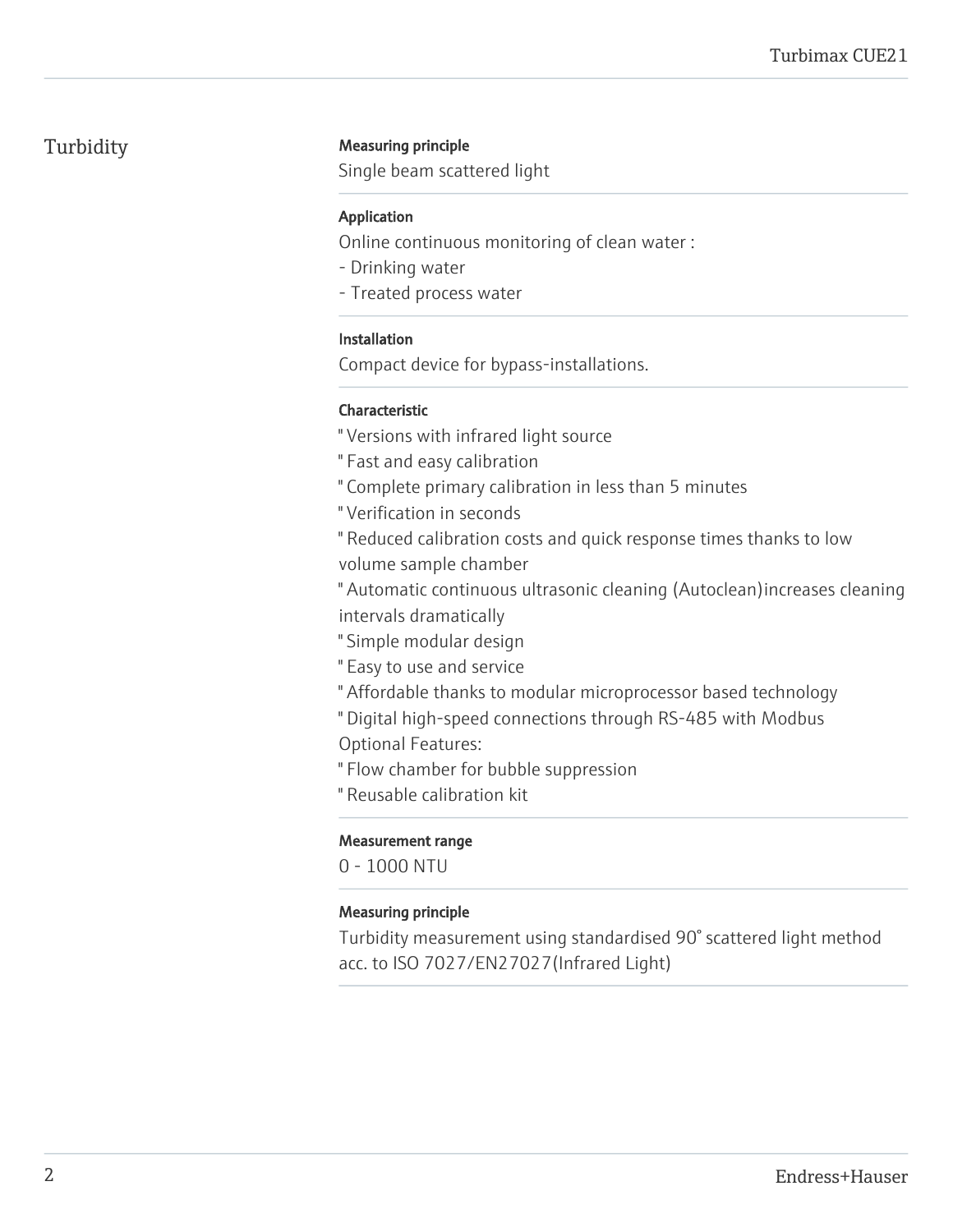### Turbidity **Measuring principle**

Single beam scattered light

#### Application

Online continuous monitoring of clean water :

- Drinking water
- Treated process water

#### Installation

Compact device for bypass-installations.

### Characteristic

" Versions with infrared light source

" Fast and easy calibration

" Complete primary calibration in less than 5 minutes

" Verification in seconds

" Reduced calibration costs and quick response times thanks to low volume sample chamber

" Automatic continuous ultrasonic cleaning (Autoclean)increases cleaning intervals dramatically

- " Simple modular design
- " Easy to use and service
- " Affordable thanks to modular microprocessor based technology

" Digital high-speed connections through RS-485 with Modbus

Optional Features:

" Flow chamber for bubble suppression

" Reusable calibration kit

### Measurement range

0 - 1000 NTU

### Measuring principle

Turbidity measurement using standardised 90° scattered light method acc. to ISO 7027/EN27027(Infrared Light)